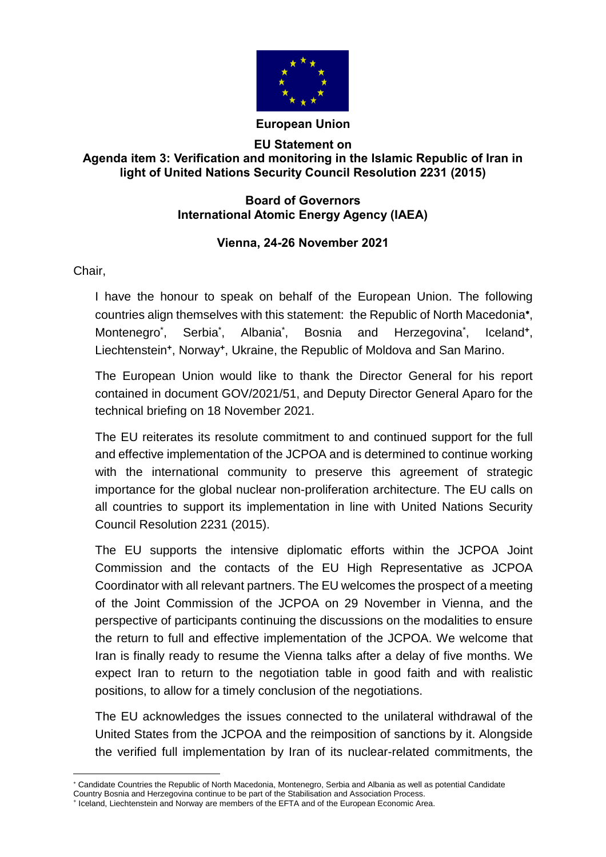

## **European Union**

## **EU Statement on Agenda item 3: Verification and monitoring in the Islamic Republic of Iran in light of United Nations Security Council Resolution 2231 (2015)**

## **Board of Governors International Atomic Energy Agency (IAEA)**

## **Vienna, 24-26 November 2021**

Chair,

I have the honour to speak on behalf of the European Union. The following countries align themselves with this statement: the Republic of North Macedonia , Montenegro<sup>\*</sup>, , Serbia\* , Albania\* and Herzegovina<sup>\*</sup>, , Iceland**<sup>+</sup>** , Liechtenstein**<sup>+</sup>** , Norway**<sup>+</sup>** , Ukraine, the Republic of Moldova and San Marino.

The European Union would like to thank the Director General for his report contained in document GOV/2021/51, and Deputy Director General Aparo for the technical briefing on 18 November 2021.

The EU reiterates its resolute commitment to and continued support for the full and effective implementation of the JCPOA and is determined to continue working with the international community to preserve this agreement of strategic importance for the global nuclear non-proliferation architecture. The EU calls on all countries to support its implementation in line with United Nations Security Council Resolution 2231 (2015).

The EU supports the intensive diplomatic efforts within the JCPOA Joint Commission and the contacts of the EU High Representative as JCPOA Coordinator with all relevant partners. The EU welcomes the prospect of a meeting of the Joint Commission of the JCPOA on 29 November in Vienna, and the perspective of participants continuing the discussions on the modalities to ensure the return to full and effective implementation of the JCPOA. We welcome that Iran is finally ready to resume the Vienna talks after a delay of five months. We expect Iran to return to the negotiation table in good faith and with realistic positions, to allow for a timely conclusion of the negotiations.

The EU acknowledges the issues connected to the unilateral withdrawal of the United States from the JCPOA and the reimposition of sanctions by it. Alongside the verified full implementation by Iran of its nuclear-related commitments, the

 $\overline{a}$  Candidate Countries the Republic of North Macedonia, Montenegro, Serbia and Albania as well as potential Candidate Country Bosnia and Herzegovina continue to be part of the Stabilisation and Association Process.

<sup>+</sup> Iceland, Liechtenstein and Norway are members of the EFTA and of the European Economic Area.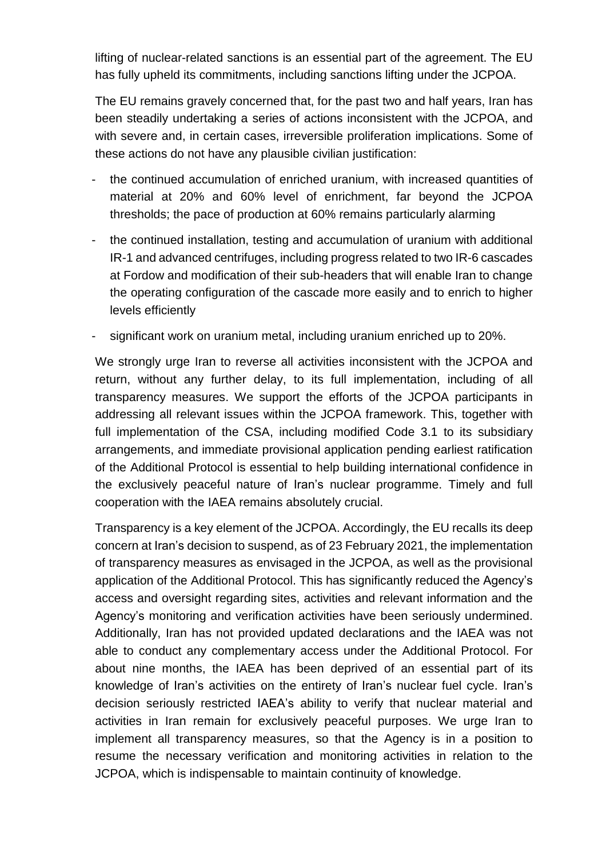lifting of nuclear-related sanctions is an essential part of the agreement. The EU has fully upheld its commitments, including sanctions lifting under the JCPOA.

The EU remains gravely concerned that, for the past two and half years, Iran has been steadily undertaking a series of actions inconsistent with the JCPOA, and with severe and, in certain cases, irreversible proliferation implications. Some of these actions do not have any plausible civilian justification:

- the continued accumulation of enriched uranium, with increased quantities of material at 20% and 60% level of enrichment, far beyond the JCPOA thresholds; the pace of production at 60% remains particularly alarming
- the continued installation, testing and accumulation of uranium with additional IR-1 and advanced centrifuges, including progress related to two IR-6 cascades at Fordow and modification of their sub-headers that will enable Iran to change the operating configuration of the cascade more easily and to enrich to higher levels efficiently
- significant work on uranium metal, including uranium enriched up to 20%.

We strongly urge Iran to reverse all activities inconsistent with the JCPOA and return, without any further delay, to its full implementation, including of all transparency measures. We support the efforts of the JCPOA participants in addressing all relevant issues within the JCPOA framework. This, together with full implementation of the CSA, including modified Code 3.1 to its subsidiary arrangements, and immediate provisional application pending earliest ratification of the Additional Protocol is essential to help building international confidence in the exclusively peaceful nature of Iran's nuclear programme. Timely and full cooperation with the IAEA remains absolutely crucial.

Transparency is a key element of the JCPOA. Accordingly, the EU recalls its deep concern at Iran's decision to suspend, as of 23 February 2021, the implementation of transparency measures as envisaged in the JCPOA, as well as the provisional application of the Additional Protocol. This has significantly reduced the Agency's access and oversight regarding sites, activities and relevant information and the Agency's monitoring and verification activities have been seriously undermined. Additionally, Iran has not provided updated declarations and the IAEA was not able to conduct any complementary access under the Additional Protocol. For about nine months, the IAEA has been deprived of an essential part of its knowledge of Iran's activities on the entirety of Iran's nuclear fuel cycle. Iran's decision seriously restricted IAEA's ability to verify that nuclear material and activities in Iran remain for exclusively peaceful purposes. We urge Iran to implement all transparency measures, so that the Agency is in a position to resume the necessary verification and monitoring activities in relation to the JCPOA, which is indispensable to maintain continuity of knowledge.